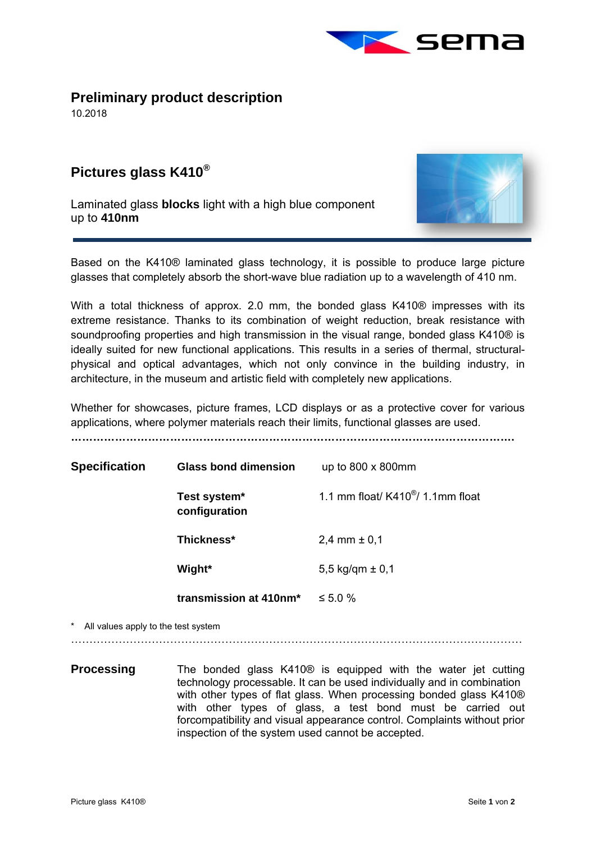

## **Preliminary product description**

10.2018

 $\overline{a}$ 

## **Pictures glass K410®**

Laminated glass **blocks** light with a high blue component up to **410nm** 



Based on the K410® laminated glass technology, it is possible to produce large picture glasses that completely absorb the short-wave blue radiation up to a wavelength of 410 nm.

With a total thickness of approx. 2.0 mm, the bonded glass K410<sup>®</sup> impresses with its extreme resistance. Thanks to its combination of weight reduction, break resistance with soundproofing properties and high transmission in the visual range, bonded glass K410® is ideally suited for new functional applications. This results in a series of thermal, structuralphysical and optical advantages, which not only convince in the building industry, in architecture, in the museum and artistic field with completely new applications.

Whether for showcases, picture frames, LCD displays or as a protective cover for various applications, where polymer materials reach their limits, functional glasses are used.

**………………………………………………………………………………………………………….** 

| <b>Specification</b> |                                     | <b>Glass bond dimension</b>        | up to $800 \times 800$ mm                         |
|----------------------|-------------------------------------|------------------------------------|---------------------------------------------------|
|                      |                                     | Test system*<br>configuration      | 1.1 mm float/ $K410^{\circledast}$ / 1.1 mm float |
|                      |                                     | Thickness*                         | 2,4 mm $\pm$ 0,1                                  |
|                      |                                     | Wight*                             | 5,5 kg/qm $\pm$ 0,1                               |
|                      |                                     | transmission at 410nm <sup>*</sup> | $\leq 5.0 \%$                                     |
|                      | All values apply to the test system |                                    |                                                   |

……………………………………………………………………………………………………………

**Processing** The bonded glass K410<sup>®</sup> is equipped with the water jet cutting technology processable. It can be used individually and in combination with other types of flat glass. When processing bonded glass K410<sup>®</sup> with other types of glass, a test bond must be carried out forcompatibility and visual appearance control. Complaints without prior inspection of the system used cannot be accepted.